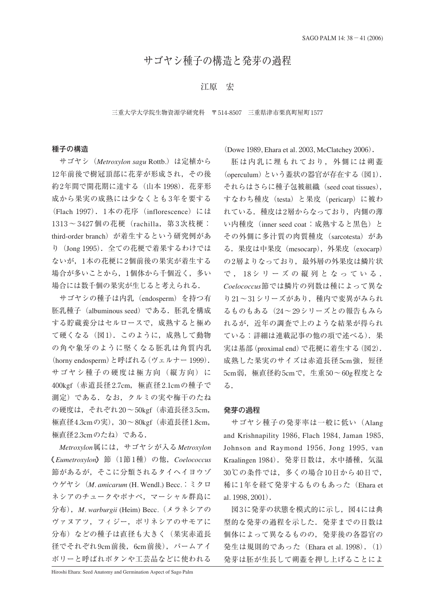# サゴヤシ種子の構造と発芽の過程

# 江原 宏

#### 三重大学大学院生物資源学研究科 〒514-8507 三重県津市栗真町屋町1577

## **種子の構造**

サゴヤシ (*Metroxylon sagu* Rottb.) は定植から 12年前後で樹冠頂部に花芽が形成され,その後 約2年間で開花期に達する(山本 1998). 花芽形 成から果実の成熟には少なくとも3年を要する (Flach 1997). 1本の花序 (inflorescence) には 1313~3427個の花梗 (rachilla, 第3次枝梗: third-order branch)が着生するという研究例があ り (Jong 1995). 全ての花梗で着果するわけでは ないが,1本の花梗に2個前後の果実が着生する 場合が多いことから,1個体から千個近く,多い 場合には数千個の果実が生じると考えられる.

サゴヤシの種子は内乳(endosperm)を持つ有 胚乳種子(albuminous seed)である.胚乳を構成 する貯蔵養分はセルロースで,成熟すると極め て硬くなる (図1). このように、成熟して動物 の角や象牙のように堅くなる胚乳は角質内乳 (horny endosperm)と呼ばれる(ヴェルナー 1999). サゴヤシ種子の硬度は極方向(縦方向)に 400kgf(赤道長径2.7cm,極直径2.1cmの種子で 測定)である.なお,クルミの実や梅干のたね の硬度は,それぞれ20〜50kgf(赤道長径3.5cm, 極直径4.3cmの実),30〜80kgf(赤道長径1.8cm, 極直径2.3cmのたね)である.

*Metroxylon*属には,サゴヤシが入る*Metroxylon Eumetroxylon* 節(1節1種)の他,*Coelococcus* 節があるが,そこに分類されるタイヘイヨウゾ ウゲヤシ(*M. amicarum* (H. Wendl.) Becc.:ミクロ ネシアのチュークやポナペ,マーシャル群島に 分布),*M. warburgii* (Heim) Becc.(メラネシアの ヴァヌアツ,フィジー,ポリネシアのサモアに 分布)などの種子は直径も大きく(果実赤道長 径でそれぞれ9cm前後, 6cm前後), パームアイ ボリーと呼ばれボタンや工芸品などに使われる

(Dowe 1989, Ehara et al. 2003, McClatchey 2006).

胚は内乳に埋もれており,外側には朔蓋 (operculum)という蓋状の器官が存在する(図1). それらはさらに種子包被組織(seed coat tissues), すなわち種皮 (testa) と果皮 (pericarp) に被わ れている. 種皮は2層からなっており、内側の薄 い内種皮 (inner seed coat:成熟すると黒色)と その外側に多汁質の肉質種皮(sarcotesta)があ る.果皮は中果皮(mesocarp),外果皮(exocarp) の2層よりなっており、最外層の外果皮は鱗片状 で, 18シリーズの縦列となっている. *Coelococcus*節では鱗片の列数は種によって異な り21〜31シリーズがあり,種内で変異がみられ るものもある(24〜29シリーズとの報告もみら れるが,近年の調査で上のような結果が得られ ている:詳細は連載記事の他の項で述べる).果 実は基部(proximal end)で花梗に着生する(図2). 成熟した果実のサイズは赤道長径5cm強,短径 5cm弱,極直径約5cmで,生重50〜60g程度とな る.

### **発芽の過程**

サゴヤシ種子の発芽率は一般に低い(Alang and Krishnapility 1986, Flach 1984, Jaman 1985, Johnson and Raymond 1956, Jong 1995, van Kraalingen 1984).発芽日数は,水中播種,気温 30℃の条件では,多くの場合10日から40日で, 稀に1年を経て発芽するものもあった(Ehara et al. 1998, 2001).

図3に発芽の状態を模式的に示し,図4には典 型的な発芽の過程を示した.発芽までの日数は 個体によって異なるものの,発芽後の各器官の 発生は規則的であった (Ehara et al. 1998). (1) 発芽は胚が生長して朔蓋を押し上げることによ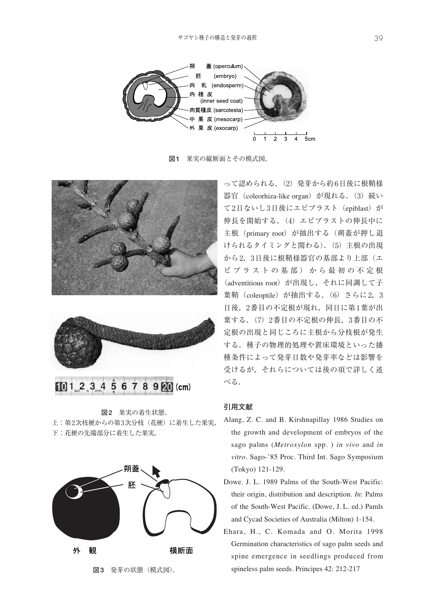

**図1** 果実の縦断面とその模式図.





 $101.2345678920$  (cm)

**図2** 果実の着生状態. 上:第2次枝梗からの第3次分枝(花梗)に着生した果実, 下:花梗の先端部分に着生した果実.



**図3** 発芽の状態(模式図).

って認められる.(2)発芽から約6日後に根鞘様 器官 (coleorhiza-like organ) が現れる. (3) 続い て2日ないし3日後にエピブラスト(epiblast)が 伸長を開始する.(4)エピブラストの伸長中に 主根 (primary root) が抽出する (朔蓋が押し退 けられるタイミングと関わる). (5) 主根の出現 から2,3日後に根鞘様器官の基部より上部(エ ピブラストの基部)から最初の不定根 (adventitious root)が出現し,それに同調して子 葉鞘 (coleoptile) が抽出する. (6) さらに2, 3 日後,2番目の不定根が現れ、同日に第1葉が出 葉する.(7)2番目の不定根の伸長,3番目の不 定根の出現と同じころに主根から分枝根が発生 する.種子の物理的処理や置床環境といった播 種条件によって発芽日数や発芽率などは影響を 受けるが,それらについては後の項で詳しく述 べる.

# **引用文献**

- Alang, Z. C. and B. Kirshnapillay 1986 Studies on the growth and development of embryos of the sago palms (*Metroxylon* spp. ) *in vivo* and *in vitro*. Sago-'85 Proc. Third Int. Sago Symposium (Tokyo) 121-129.
- Dowe. J. L. 1989 Palms of the South-West Pacific: their origin, distribution and description. *In*: Palms of the South-West Pacific. (Dowe, J. L. ed.) Pamls and Cycad Societies of Australia (Milton) 1-154.
- Ehara, H., C. Komada and O. Morita 1998 Germination characteristics of sago palm seeds and spine emergence in seedlings produced from spineless palm seeds. Principes 42: 212-217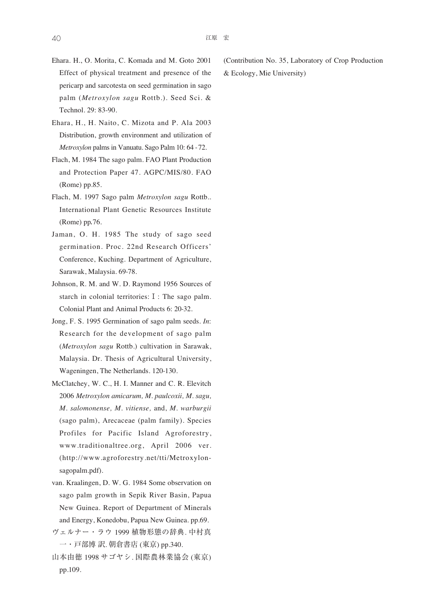- Ehara. H., O. Morita, C. Komada and M. Goto 2001 Effect of physical treatment and presence of the pericarp and sarcotesta on seed germination in sago palm (*Metroxylon sagu* Rottb.). Seed Sci. & Technol. 29: 83-90.
- Ehara, H., H. Naito, C. Mizota and P. Ala 2003 Distribution, growth environment and utilization of *Metroxylon* palms in Vanuatu. Sago Palm 10: 64 - 72.
- Flach, M. 1984 The sago palm. FAO Plant Production and Protection Paper 47. AGPC/MIS/80. FAO (Rome) pp.85.
- Flach, M. 1997 Sago palm *Metroxylon sagu* Rottb.. International Plant Genetic Resources Institute (Rome) pp 76.
- Jaman, O. H. 1985 The study of sago seed germination. Proc. 22nd Research Officers' Conference, Kuching. Department of Agriculture, Sarawak, Malaysia. 69-78.
- Johnson, R. M. and W. D. Raymond 1956 Sources of starch in colonial territories:Ⅰ: The sago palm. Colonial Plant and Animal Products 6: 20-32.
- Jong, F. S. 1995 Germination of sago palm seeds. *In*: Research for the development of sago palm (*Metroxylon sagu* Rottb.) cultivation in Sarawak, Malaysia. Dr. Thesis of Agricultural University, Wageningen, The Netherlands. 120-130.
- McClatchey, W. C., H. I. Manner and C. R. Elevitch 2006 *Metroxylon amicarum, M. paulcoxii, M. sagu, M. salomonense, M. vitiense,* and, *M. warburgii* (sago palm), Arecaceae (palm family). Species Profiles for Pacific Island Agroforestry, www.traditionaltree.org, April 2006 ver. (http://www.agroforestry.net/tti/Metroxylonsagopalm.pdf).
- van. Kraalingen, D. W. G. 1984 Some observation on sago palm growth in Sepik River Basin, Papua New Guinea. Report of Department of Minerals and Energy, Konedobu, Papua New Guinea. pp.69.
- ヴェルナー・ラウ 1999 植物形態の辞典. 中村真 一・戸部博 訳. 朝倉書店 (東京) pp.340.
- 山本由徳 1998 サゴヤシ. 国際農林業協会 (東京) pp.109.

(Contribution No. 35, Laboratory of Crop Production & Ecology, Mie University)